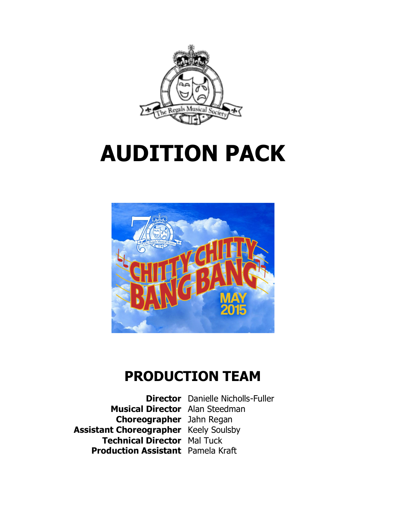

# **AUDITION PACK**



# **PRODUCTION TEAM**

**Director** Danielle Nicholls-Fuller **Musical Director** Alan Steedman **Choreographer** Jahn Regan **Assistant Choreographer** Keely Soulsby **Technical Director** Mal Tuck **Production Assistant** Pamela Kraft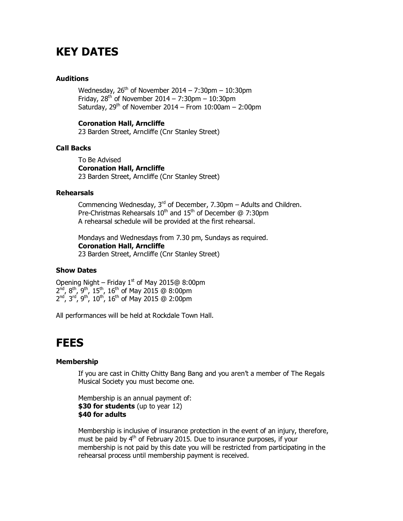# **KEY DATES**

#### **Auditions**

Wednesday,  $26<sup>th</sup>$  of November 2014 – 7:30pm – 10:30pm Friday,  $28^{th}$  of November  $2014 - 7:30$ pm – 10:30pm Saturday,  $29<sup>th</sup>$  of November 2014 – From 10:00am – 2:00pm

#### **Coronation Hall, Arncliffe**

23 Barden Street, Arncliffe (Cnr Stanley Street)

#### **Call Backs**

To Be Advised **Coronation Hall, Arncliffe** 23 Barden Street, Arncliffe (Cnr Stanley Street)

#### **Rehearsals**

Commencing Wednesday,  $3^{rd}$  of December, 7.30pm – Adults and Children. Pre-Christmas Rehearsals  $10^{th}$  and  $15^{th}$  of December @ 7:30pm A rehearsal schedule will be provided at the first rehearsal.

Mondays and Wednesdays from 7.30 pm, Sundays as required. **Coronation Hall, Arncliffe** 23 Barden Street, Arncliffe (Cnr Stanley Street)

#### **Show Dates**

Opening Night – Friday  $1<sup>st</sup>$  of May 2015@ 8:00pm  $2^{nd}$ , 8<sup>th</sup>, 9<sup>th</sup>, 15<sup>th</sup>, 16<sup>th</sup> of May 2015 @ 8:00pm  $2^{nd}$ ,  $3^{rd}$ ,  $9^{th}$ ,  $10^{th}$ ,  $16^{th}$  of May 2015 @ 2:00pm

All performances will be held at Rockdale Town Hall.

### **FEES**

#### **Membership**

If you are cast in Chitty Chitty Bang Bang and you aren't a member of The Regals Musical Society you must become one.

Membership is an annual payment of: **\$30 for students** (up to year 12) **\$40 for adults**

Membership is inclusive of insurance protection in the event of an injury, therefore, must be paid by 4<sup>th</sup> of February 2015. Due to insurance purposes, if your membership is not paid by this date you will be restricted from participating in the rehearsal process until membership payment is received.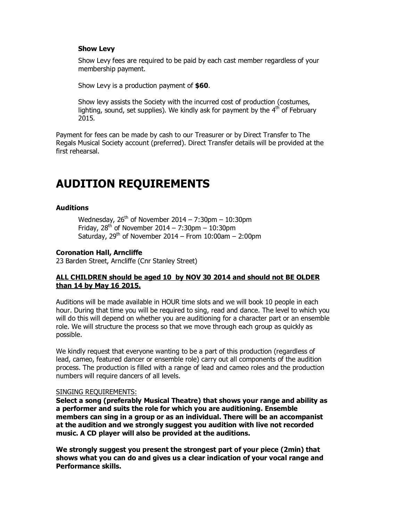#### **Show Levy**

Show Levy fees are required to be paid by each cast member regardless of your membership payment.

Show Levy is a production payment of **\$60**.

Show levy assists the Society with the incurred cost of production (costumes, lighting, sound, set supplies). We kindly ask for payment by the  $4<sup>th</sup>$  of February 2015.

Payment for fees can be made by cash to our Treasurer or by Direct Transfer to The Regals Musical Society account (preferred). Direct Transfer details will be provided at the first rehearsal.

# **AUDITION REQUIREMENTS**

#### **Auditions**

Wednesday,  $26<sup>th</sup>$  of November 2014 – 7:30pm – 10:30pm Friday,  $28<sup>th</sup>$  of November  $2014 - 7:30$ pm –  $10:30$ pm Saturday,  $29<sup>th</sup>$  of November 2014 – From 10:00am – 2:00pm

#### **Coronation Hall, Arncliffe**

23 Barden Street, Arncliffe (Cnr Stanley Street)

#### **ALL CHILDREN should be aged 10 by NOV 30 2014 and should not BE OLDER than 14 by May 16 2015.**

Auditions will be made available in HOUR time slots and we will book 10 people in each hour. During that time you will be required to sing, read and dance. The level to which you will do this will depend on whether you are auditioning for a character part or an ensemble role. We will structure the process so that we move through each group as quickly as possible.

We kindly request that everyone wanting to be a part of this production (regardless of lead, cameo, featured dancer or ensemble role) carry out all components of the audition process. The production is filled with a range of lead and cameo roles and the production numbers will require dancers of all levels.

#### SINGING REQUIREMENTS:

**Select a song (preferably Musical Theatre) that shows your range and ability as a performer and suits the role for which you are auditioning. Ensemble members can sing in a group or as an individual. There will be an accompanist at the audition and we strongly suggest you audition with live not recorded music. A CD player will also be provided at the auditions.** 

**We strongly suggest you present the strongest part of your piece (2min) that shows what you can do and gives us a clear indication of your vocal range and Performance skills.**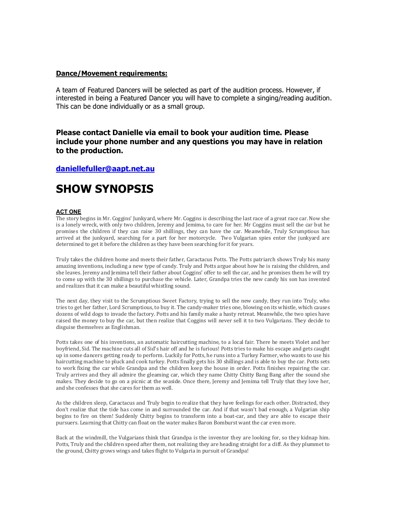#### **Dance/Movement requirements:**

A team of Featured Dancers will be selected as part of the audition process. However, if interested in being a Featured Dancer you will have to complete a singing/reading audition. This can be done individually or as a small group.

#### **Please contact Danielle via email to book your audition time. Please include your phone number and any questions you may have in relation to the production.**

#### **daniellefuller@aapt.net.au**

## **SHOW SYNOPSIS**

#### **ACT ONE**

The story begins in Mr. Coggins' Junkyard, where Mr. Coggins is describing the last race of a great race car. Now she is a lonely wreck, with only two children, Jeremy and Jemima, to care for her. Mr Coggins must sell the car but he promises the children if they can raise 30 shillings, they can have the car. Meanwhile, Truly Scrumptious has arrived at the junkyard, searching for a part for her motorcycle. Two Vulgarian spies enter the junkyard are determined to get it before the children as they have been searching for it for years.

Truly takes the children home and meets their father, Caractacus Potts. The Potts patriarch shows Truly his many amazing inventions, including a new type of candy. Truly and Potts argue about how he is raising the children, and she leaves. Jeremy and Jemima tell their father about Coggins' offer to sell the car, and he promises them he will try to come up with the 30 shillings to purchase the vehicle. Later, Grandpa tries the new candy his son has invented and realizes that it can make a beautiful whistling sound.

[The next day, they visit to the Scrum](mailto:daniellefuller@aapt.net.au)ptious Sweet Factory, trying to sell the new candy, they run into Truly, who tries to get her father, Lord Scrumptious, to buy it. The candy-maker tries one, blowing on its whistle, which causes dozens of wild dogs to invade the factory. Potts and his family make a hasty retreat. Meanwhile, the two spies have raised the money to buy the car, but then realize that Coggins will never sell it to two Vulgarians. They decide to disguise themselves as Englishman.

Potts takes one of his inventions, an automatic haircutting machine, to a local fair. There he meets Violet and her boyfriend, Sid. The machine cuts all of Sid's hair off and he is furious! Potts tries to make his escape and gets caught up in some dancers getting ready to perform. Luckily for Potts, he runs into a Turkey Farmer, who wants to use his haircutting machine to pluck and cook turkey. Potts finally gets his 30 shillings and is able to buy the car. Potts sets to work fixing the car while Grandpa and the children keep the house in order. Potts finishes repairing the car. Truly arrives and they all admire the gleaming car, which they name Chitty Chitty Bang Bang after the sound she makes. They decide to go on a picnic at the seaside. Once there, Jeremy and Jemima tell Truly that they love her, and she confesses that she cares for them as well.

As the children sleep, Caractacus and Truly begin to realize that they have feelings for each other. Distracted, they don't realize that the tide has come in and surrounded the car. And if that wasn't bad enough, a Vulgarian ship begins to fire on them! Suddenly Chitty begins to transform into a boat-car, and they are able to escape their pursuers. Learning that Chitty can float on the water makes Baron Bomburst want the car even more.

Back at the windmill, the Vulgarians think that Grandpa is the inventor they are looking for, so they kidnap him. Potts, Truly and the children speed after them, not realizing they are heading straight for a cliff. As they plummet to the ground, Chitty grows wings and takes flight to Vulgaria in pursuit of Grandpa!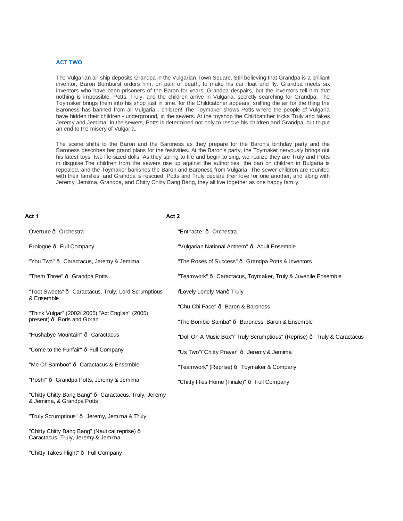#### **ACT TWO**

The Vulgarian air ship deposits Grandpa in the Vulgarian Town Square. Still believing that Grandpa is a brilliant inventor, Baron Bomburst orders him, on pain of death, to make his car float and fly. Grandpa meets six inventors who have been prisoners of the Baron for years. Grandpa despairs, but the inventors tell him that nothing is impossible. Potts, Truly, and the children arrive in Vulgaria, secretly searching for Grandpa. The Toymaker brings them into his shop just in time, for the Childcatcher appears, sniffing the air for the thing the Baroness has banned from all Vulgaria - children! The Toymaker shows Potts where the people of Vulgaria have hidden their children - underground, in the sewers. At the toyshop the Childcatcher tricks Truly and takes Jeremy and Jemima. In the sewers, Potts is determined not only to rescue his children and Grandpa, but to put an end to the misery of Vulgaria.

The scene shifts to the Baron and the Baroness as they prepare for the Baron's birthday party and the Baroness describes her grand plans for the festivities. At the Baron's party, the Toymaker nervously brings out his latest toys: two life-sized dolls. As they spring to life and begin to sing, we realize they are Truly and Potts in disguise.The children from the sewers rise up against the authorities; the ban on children in Bulgaria is repealed, and the Toymaker banishes the Baron and Baroness from Vulgaria. The sewer children are reunited with their families, and Grandpa is rescued. Potts and Truly declare their love for one another, and along with Jeremy, Jemima, Grandpa, and Chitty Chitty Bang Bang, they all live together as one happy family.

#### **Act 1**

#### **Act 2**

| Overture · Orchestra                                                               | "Entr'acte" · Orchestra                                                |
|------------------------------------------------------------------------------------|------------------------------------------------------------------------|
| Prologue · Full Company                                                            | "Vulgarian National Anthem" · Adult Ensemble                           |
| "You Two" · Caractacus, Jeremy & Jemima                                            | "The Roses of Success" Grandpa Potts & Inventors"                      |
| "Them Three" · Grandpa Potts                                                       | "Teamwork" · Caractacus, Toymaker, Truly & Juvenile Ensemble           |
| "Toot Sweets" Garactacus, Truly, Lord Scrumptious<br>& Ensemble                    | <b>Wovely Lonely Man+ Truly</b>                                        |
| "Think Vulgar" (2002. 2005) "Act English" (2005.<br>present) · Boris and Goran     | "Chu-Chi Face" · Baron & Baroness                                      |
|                                                                                    | "The Bombie Samba" · Baroness, Baron & Ensemble                        |
| "Hushabye Mountain" · Caractacus                                                   | "Doll On A Music Box"/"Truly Scrumptious" (Reprise) Truly & Caractacus |
| "Come to the Funfair" · Full Company                                               | "Us Two"/"Chitty Prayer" · Jeremy & Jemima                             |
| "Me Ol' Bamboo" · Caractacus & Ensemble                                            | "Teamwork" (Reprise) · Toymaker & Company                              |
| "Posh!" Grandpa Potts, Jeremy & Jemima                                             | "Chitty Flies Home (Finale)" · Full Company                            |
| "Chitty Chitty Bang Bang" · Caractacus, Truly, Jeremy<br>& Jemima, & Grandpa Potts |                                                                        |
| "Truly Scrumptious" · Jeremy, Jemima & Truly                                       |                                                                        |

"Chitty Chitty Bang Bang" (Nautical reprise) -Caractacus, Truly, Jeremy & Jemima

"Chitty Takes Flight" — Full Company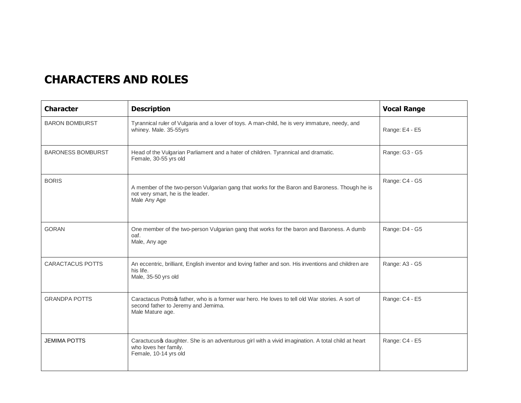# **CHARACTERS AND ROLES**

| <b>Character</b>         | <b>Description</b>                                                                                                                                         | <b>Vocal Range</b> |
|--------------------------|------------------------------------------------------------------------------------------------------------------------------------------------------------|--------------------|
| <b>BARON BOMBURST</b>    | Tyrannical ruler of Vulgaria and a lover of toys. A man-child, he is very immature, needy, and<br>whiney. Male. 35-55yrs                                   | Range: E4 - E5     |
| <b>BARONESS BOMBURST</b> | Head of the Vulgarian Parliament and a hater of children. Tyrannical and dramatic.<br>Female, 30-55 yrs old                                                | Range: G3 - G5     |
| <b>BORIS</b>             | A member of the two-person Vulgarian gang that works for the Baron and Baroness. Though he is<br>not very smart, he is the leader.<br>Male Any Age         | Range: C4 - G5     |
| <b>GORAN</b>             | One member of the two-person Vulgarian gang that works for the baron and Baroness. A dumb<br>oaf.<br>Male, Any age                                         | Range: D4 - G5     |
| <b>CARACTACUS POTTS</b>  | An eccentric, brilliant, English inventor and loving father and son. His inventions and children are<br>his life.<br>Male, 35-50 yrs old                   | Range: A3 - G5     |
| <b>GRANDPA POTTS</b>     | Caractacus Pottso father, who is a former war hero. He loves to tell old War stories. A sort of<br>second father to Jeremy and Jemima.<br>Male Mature age. | Range: C4 - E5     |
| <b>JEMIMA POTTS</b>      | Caractucus of daughter. She is an adventurous girl with a vivid imagination. A total child at heart<br>who loves her family.<br>Female, 10-14 yrs old      | Range: C4 - E5     |